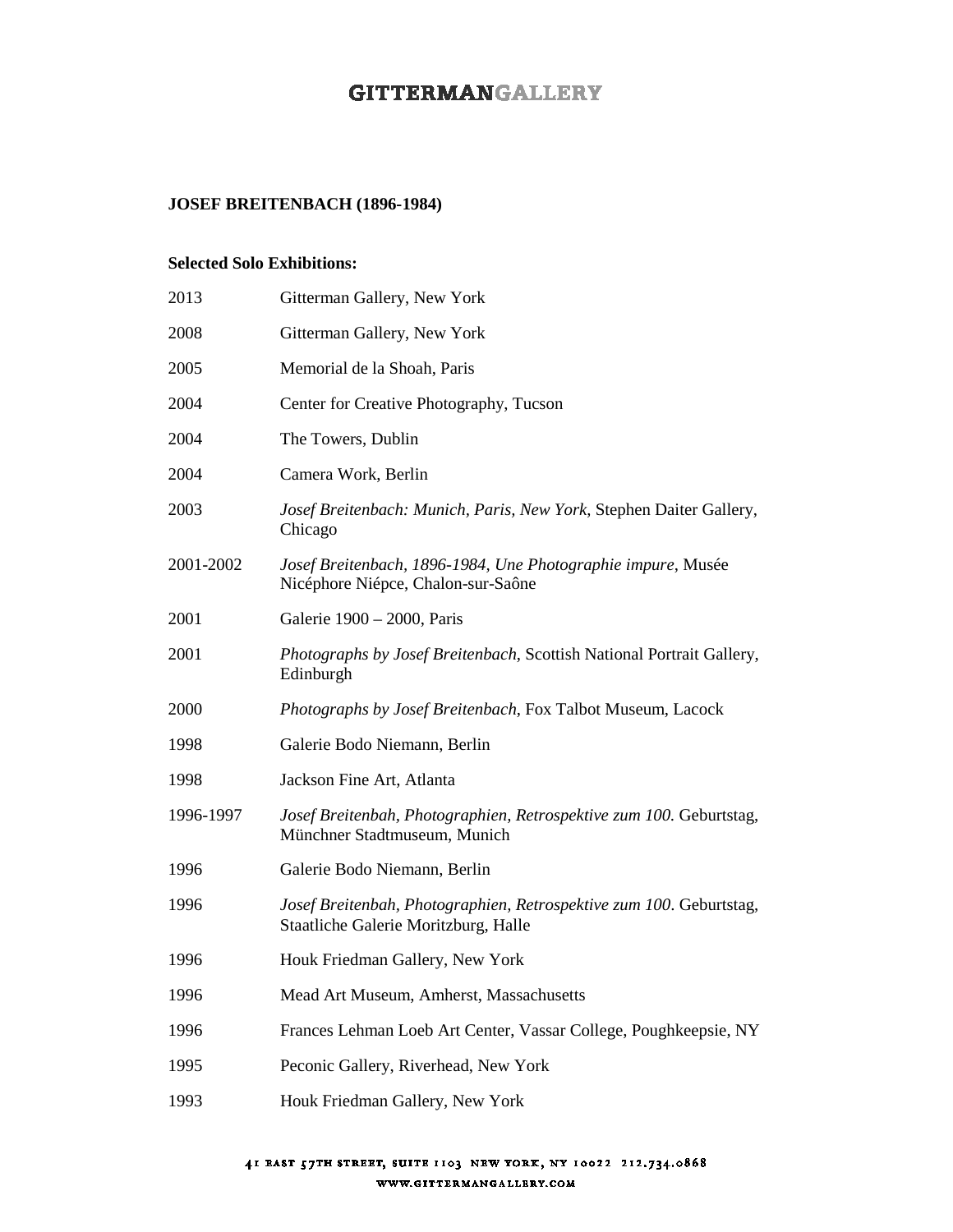# **GITTERMANGALLERY**

## **JOSEF BREITENBACH (1896-1984)**

#### **Selected Solo Exhibitions:**

| 2013      | Gitterman Gallery, New York                                                                                 |
|-----------|-------------------------------------------------------------------------------------------------------------|
| 2008      | Gitterman Gallery, New York                                                                                 |
| 2005      | Memorial de la Shoah, Paris                                                                                 |
| 2004      | Center for Creative Photography, Tucson                                                                     |
| 2004      | The Towers, Dublin                                                                                          |
| 2004      | Camera Work, Berlin                                                                                         |
| 2003      | Josef Breitenbach: Munich, Paris, New York, Stephen Daiter Gallery,<br>Chicago                              |
| 2001-2002 | Josef Breitenbach, 1896-1984, Une Photographie impure, Musée<br>Nicéphore Niépce, Chalon-sur-Saône          |
| 2001      | Galerie 1900 - 2000, Paris                                                                                  |
| 2001      | Photographs by Josef Breitenbach, Scottish National Portrait Gallery,<br>Edinburgh                          |
| 2000      | Photographs by Josef Breitenbach, Fox Talbot Museum, Lacock                                                 |
| 1998      | Galerie Bodo Niemann, Berlin                                                                                |
| 1998      | Jackson Fine Art, Atlanta                                                                                   |
| 1996-1997 | Josef Breitenbah, Photographien, Retrospektive zum 100. Geburtstag,<br>Münchner Stadtmuseum, Munich         |
| 1996      | Galerie Bodo Niemann, Berlin                                                                                |
| 1996      | Josef Breitenbah, Photographien, Retrospektive zum 100. Geburtstag,<br>Staatliche Galerie Moritzburg, Halle |
| 1996      | Houk Friedman Gallery, New York                                                                             |
| 1996      | Mead Art Museum, Amherst, Massachusetts                                                                     |
| 1996      | Frances Lehman Loeb Art Center, Vassar College, Poughkeepsie, NY                                            |
| 1995      | Peconic Gallery, Riverhead, New York                                                                        |
| 1993      | Houk Friedman Gallery, New York                                                                             |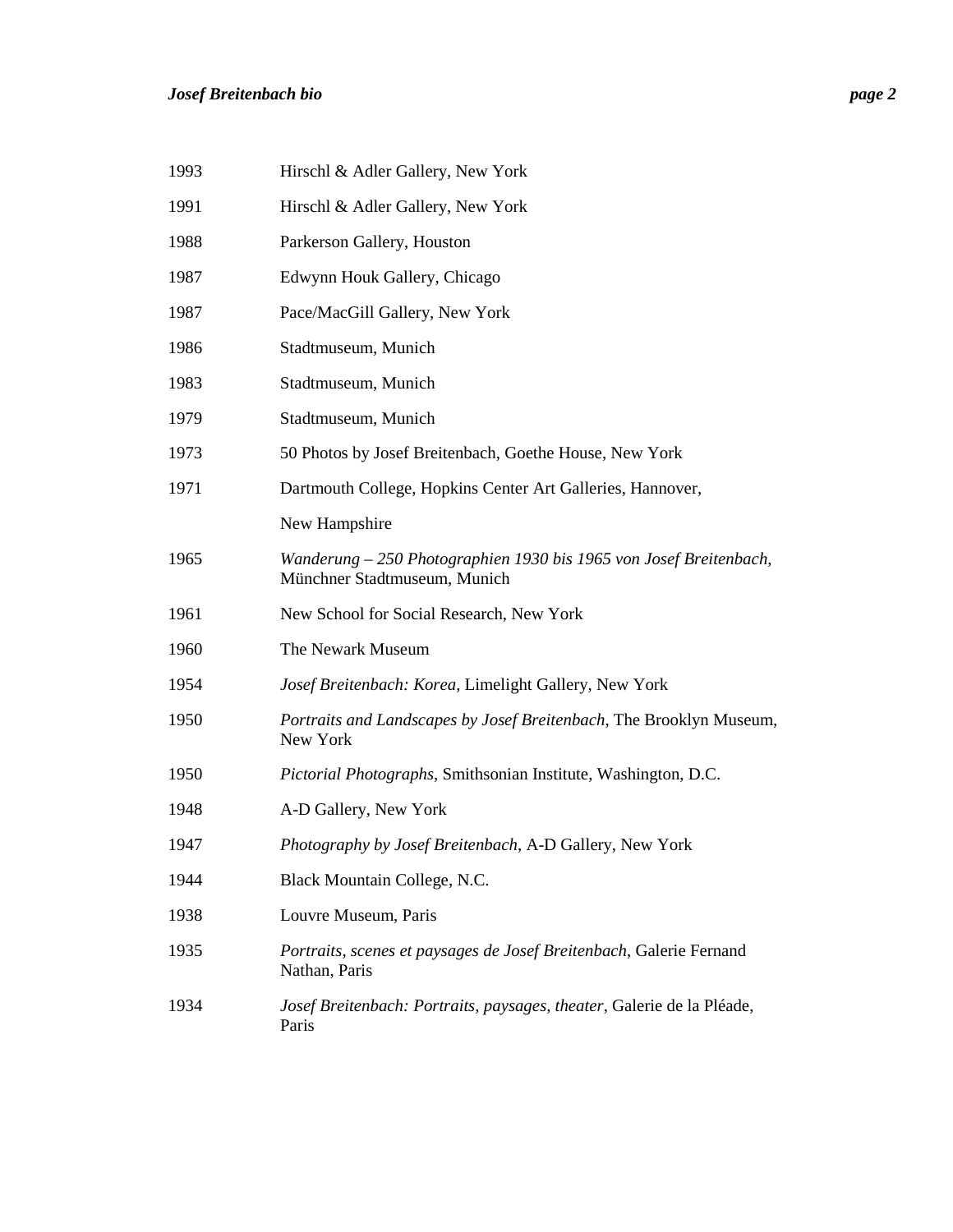| 1993 | Hirschl & Adler Gallery, New York                                                                  |
|------|----------------------------------------------------------------------------------------------------|
| 1991 | Hirschl & Adler Gallery, New York                                                                  |
| 1988 | Parkerson Gallery, Houston                                                                         |
| 1987 | Edwynn Houk Gallery, Chicago                                                                       |
| 1987 | Pace/MacGill Gallery, New York                                                                     |
| 1986 | Stadtmuseum, Munich                                                                                |
| 1983 | Stadtmuseum, Munich                                                                                |
| 1979 | Stadtmuseum, Munich                                                                                |
| 1973 | 50 Photos by Josef Breitenbach, Goethe House, New York                                             |
| 1971 | Dartmouth College, Hopkins Center Art Galleries, Hannover,                                         |
|      | New Hampshire                                                                                      |
| 1965 | Wanderung – 250 Photographien 1930 bis 1965 von Josef Breitenbach,<br>Münchner Stadtmuseum, Munich |
| 1961 | New School for Social Research, New York                                                           |
| 1960 | The Newark Museum                                                                                  |
| 1954 | Josef Breitenbach: Korea, Limelight Gallery, New York                                              |
| 1950 | Portraits and Landscapes by Josef Breitenbach, The Brooklyn Museum,<br>New York                    |
| 1950 | Pictorial Photographs, Smithsonian Institute, Washington, D.C.                                     |
| 1948 | A-D Gallery, New York                                                                              |
| 1947 | Photography by Josef Breitenbach, A-D Gallery, New York                                            |
| 1944 | Black Mountain College, N.C.                                                                       |
| 1938 | Louvre Museum, Paris                                                                               |
| 1935 | Portraits, scenes et paysages de Josef Breitenbach, Galerie Fernand<br>Nathan, Paris               |
| 1934 | Josef Breitenbach: Portraits, paysages, theater, Galerie de la Pléade,<br>Paris                    |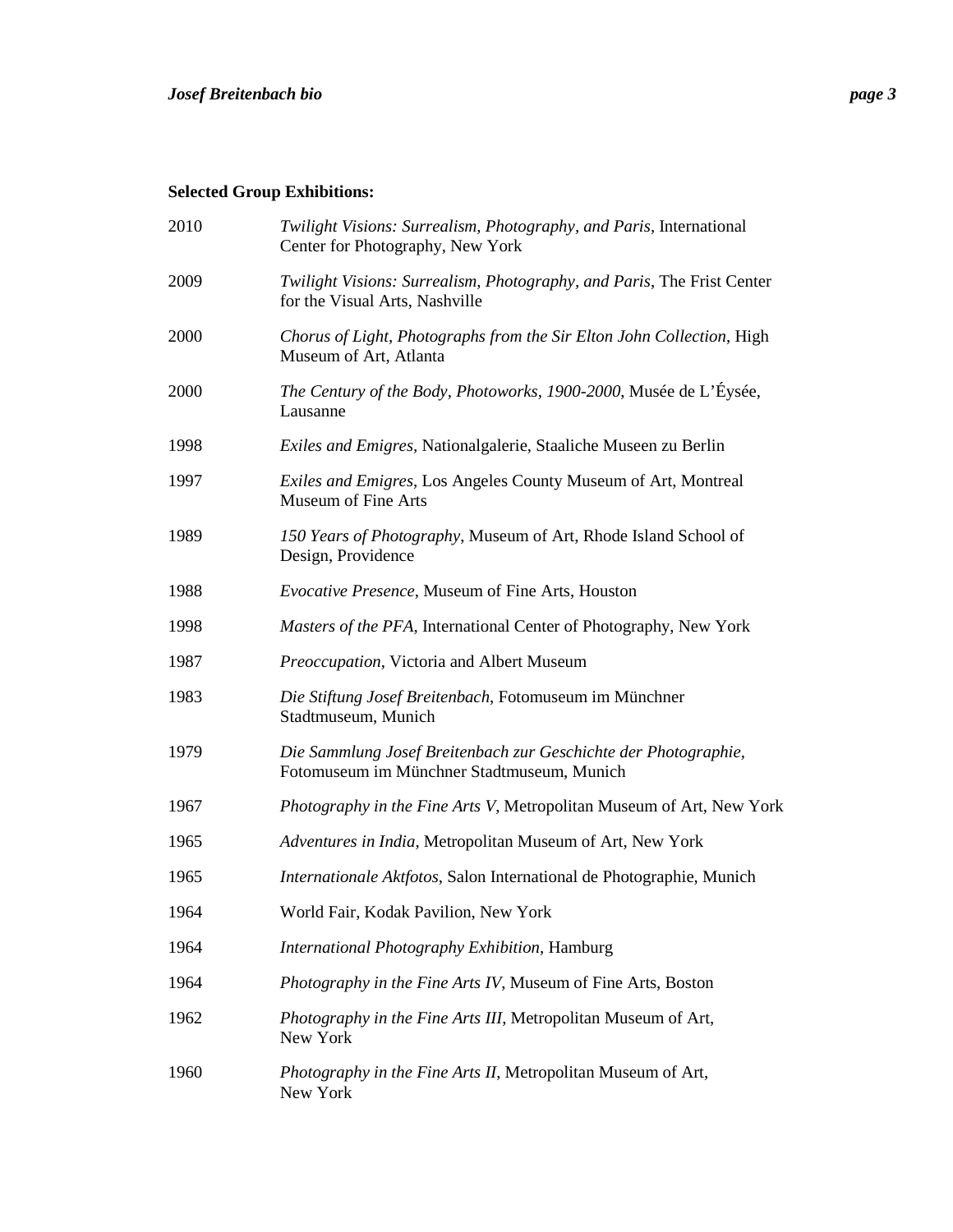# **Selected Group Exhibitions:**

| 2010 | Twilight Visions: Surrealism, Photography, and Paris, International<br>Center for Photography, New York       |
|------|---------------------------------------------------------------------------------------------------------------|
| 2009 | Twilight Visions: Surrealism, Photography, and Paris, The Frist Center<br>for the Visual Arts, Nashville      |
| 2000 | Chorus of Light, Photographs from the Sir Elton John Collection, High<br>Museum of Art, Atlanta               |
| 2000 | The Century of the Body, Photoworks, 1900-2000, Musée de L'Éysée,<br>Lausanne                                 |
| 1998 | Exiles and Emigres, Nationalgalerie, Staaliche Museen zu Berlin                                               |
| 1997 | Exiles and Emigres, Los Angeles County Museum of Art, Montreal<br>Museum of Fine Arts                         |
| 1989 | 150 Years of Photography, Museum of Art, Rhode Island School of<br>Design, Providence                         |
| 1988 | <i>Evocative Presence</i> , Museum of Fine Arts, Houston                                                      |
| 1998 | Masters of the PFA, International Center of Photography, New York                                             |
| 1987 | Preoccupation, Victoria and Albert Museum                                                                     |
| 1983 | Die Stiftung Josef Breitenbach, Fotomuseum im Münchner<br>Stadtmuseum, Munich                                 |
| 1979 | Die Sammlung Josef Breitenbach zur Geschichte der Photographie,<br>Fotomuseum im Münchner Stadtmuseum, Munich |
| 1967 | Photography in the Fine Arts V, Metropolitan Museum of Art, New York                                          |
| 1965 | Adventures in India, Metropolitan Museum of Art, New York                                                     |
| 1965 | Internationale Aktfotos, Salon International de Photographie, Munich                                          |
| 1964 | World Fair, Kodak Pavilion, New York                                                                          |
| 1964 | International Photography Exhibition, Hamburg                                                                 |
| 1964 | Photography in the Fine Arts IV, Museum of Fine Arts, Boston                                                  |
| 1962 | Photography in the Fine Arts III, Metropolitan Museum of Art,<br>New York                                     |
| 1960 | Photography in the Fine Arts II, Metropolitan Museum of Art,<br>New York                                      |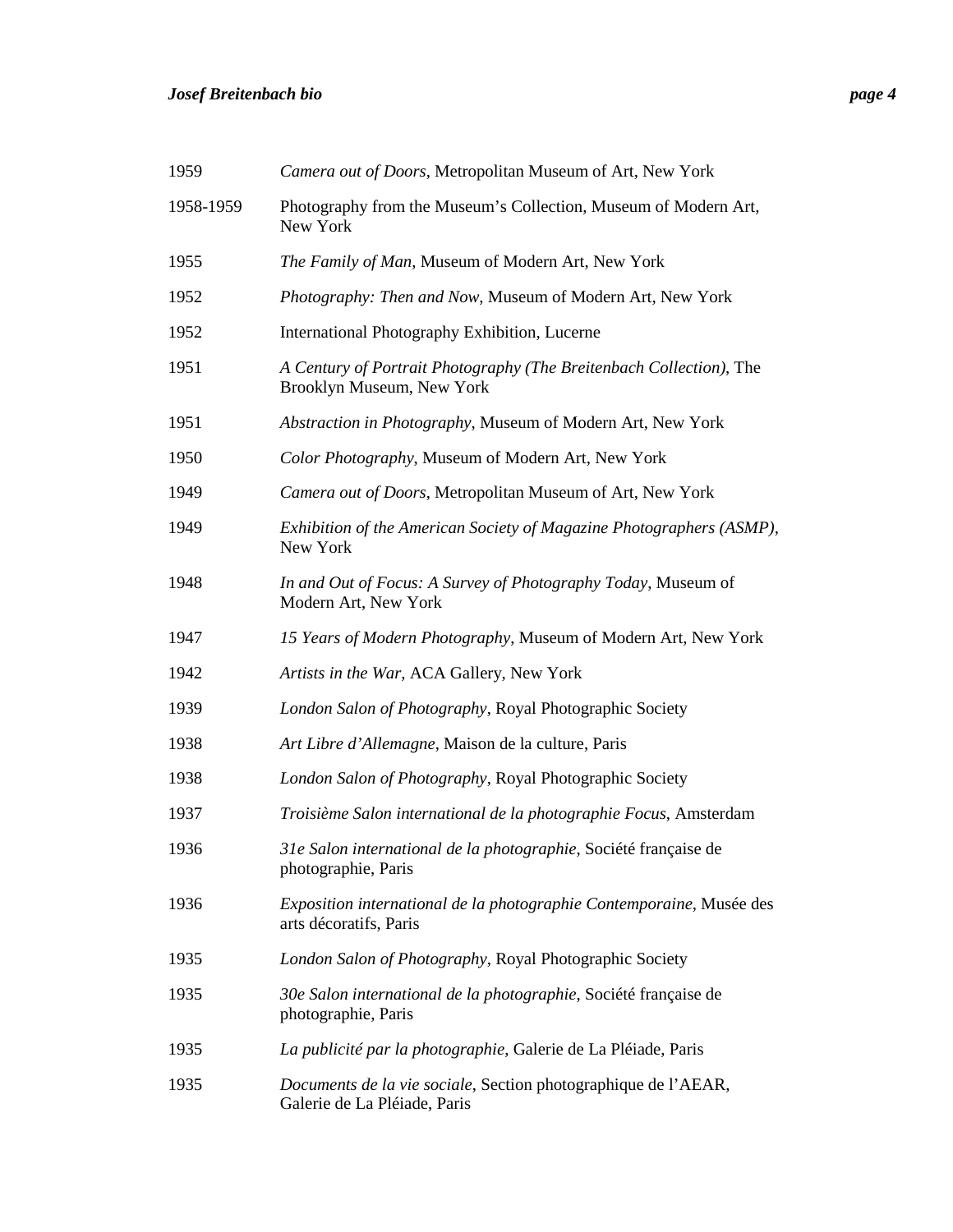## *Josef Breitenbach bio page 4*

| 1959      | Camera out of Doors, Metropolitan Museum of Art, New York                                        |
|-----------|--------------------------------------------------------------------------------------------------|
| 1958-1959 | Photography from the Museum's Collection, Museum of Modern Art,<br>New York                      |
| 1955      | The Family of Man, Museum of Modern Art, New York                                                |
| 1952      | Photography: Then and Now, Museum of Modern Art, New York                                        |
| 1952      | International Photography Exhibition, Lucerne                                                    |
| 1951      | A Century of Portrait Photography (The Breitenbach Collection), The<br>Brooklyn Museum, New York |
| 1951      | Abstraction in Photography, Museum of Modern Art, New York                                       |
| 1950      | Color Photography, Museum of Modern Art, New York                                                |
| 1949      | Camera out of Doors, Metropolitan Museum of Art, New York                                        |
| 1949      | Exhibition of the American Society of Magazine Photographers (ASMP),<br>New York                 |
| 1948      | In and Out of Focus: A Survey of Photography Today, Museum of<br>Modern Art, New York            |
| 1947      | 15 Years of Modern Photography, Museum of Modern Art, New York                                   |
| 1942      | Artists in the War, ACA Gallery, New York                                                        |
| 1939      | London Salon of Photography, Royal Photographic Society                                          |
| 1938      | Art Libre d'Allemagne, Maison de la culture, Paris                                               |
| 1938      | London Salon of Photography, Royal Photographic Society                                          |
| 1937      | Troisième Salon international de la photographie Focus, Amsterdam                                |
| 1936      | 31e Salon international de la photographie, Société française de<br>photographie, Paris          |
| 1936      | Exposition international de la photographie Contemporaine, Musée des<br>arts décoratifs, Paris   |
| 1935      | London Salon of Photography, Royal Photographic Society                                          |
| 1935      | 30e Salon international de la photographie, Société française de<br>photographie, Paris          |
| 1935      | La publicité par la photographie, Galerie de La Pléiade, Paris                                   |
| 1935      | Documents de la vie sociale, Section photographique de l'AEAR,<br>Galerie de La Pléiade, Paris   |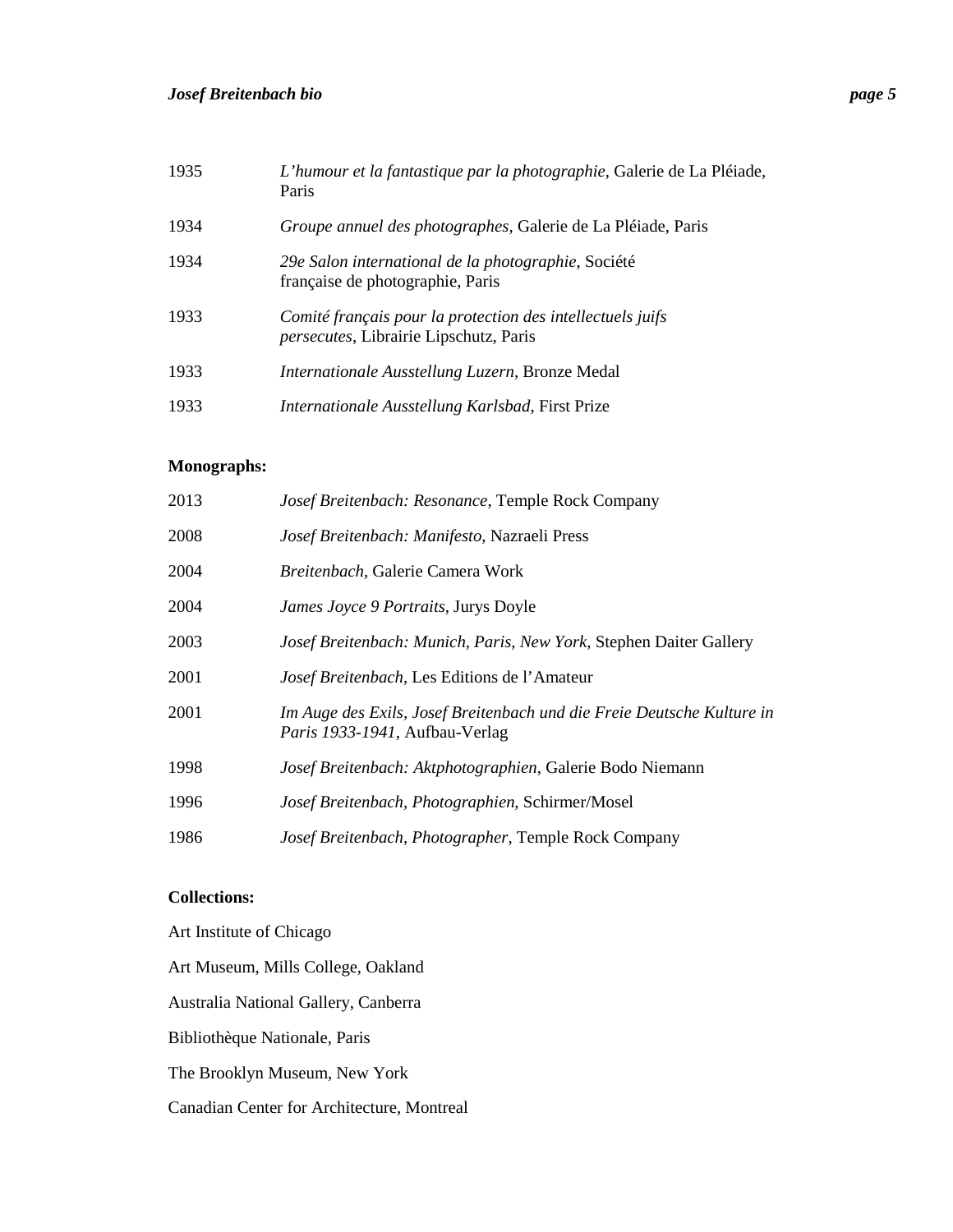| 1935 | L'humour et la fantastique par la photographie, Galerie de La Pléiade,<br>Paris                              |
|------|--------------------------------------------------------------------------------------------------------------|
| 1934 | Groupe annuel des photographes, Galerie de La Pléiade, Paris                                                 |
| 1934 | 29e Salon international de la photographie, Société<br>française de photographie, Paris                      |
| 1933 | Comité français pour la protection des intellectuels juifs<br><i>persecutes</i> , Librairie Lipschutz, Paris |
| 1933 | Internationale Ausstellung Luzern, Bronze Medal                                                              |
| 1933 | Internationale Ausstellung Karlsbad, First Prize                                                             |

#### **Monographs:**

| 2013 | Josef Breitenbach: Resonance, Temple Rock Company                                                        |
|------|----------------------------------------------------------------------------------------------------------|
| 2008 | Josef Breitenbach: Manifesto, Nazraeli Press                                                             |
| 2004 | Breitenbach, Galerie Camera Work                                                                         |
| 2004 | James Joyce 9 Portraits, Jurys Doyle                                                                     |
| 2003 | Josef Breitenbach: Munich, Paris, New York, Stephen Daiter Gallery                                       |
| 2001 | Josef Breitenbach, Les Editions de l'Amateur                                                             |
| 2001 | Im Auge des Exils, Josef Breitenbach und die Freie Deutsche Kulture in<br>Paris 1933-1941, Aufbau-Verlag |
| 1998 | Josef Breitenbach: Aktphotographien, Galerie Bodo Niemann                                                |
| 1996 | Josef Breitenbach, Photographien, Schirmer/Mosel                                                         |
| 1986 | Josef Breitenbach, Photographer, Temple Rock Company                                                     |

### **Collections:**

Art Institute of Chicago Art Museum, Mills College, Oakland Australia National Gallery, Canberra Bibliothèque Nationale, Paris The Brooklyn Museum, New York Canadian Center for Architecture, Montreal